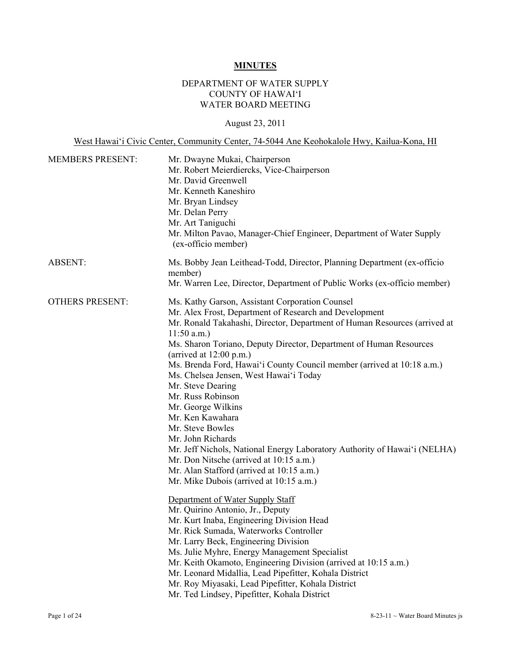# **MINUTES**

# DEPARTMENT OF WATER SUPPLY COUNTY OF HAWAI'I WATER BOARD MEETING

# August 23, 2011

West Hawai'i Civic Center, Community Center, 74-5044 Ane Keohokalole Hwy, Kailua-Kona, HI

| <b>MEMBERS PRESENT:</b> | Mr. Dwayne Mukai, Chairperson<br>Mr. Robert Meierdiercks, Vice-Chairperson<br>Mr. David Greenwell<br>Mr. Kenneth Kaneshiro<br>Mr. Bryan Lindsey<br>Mr. Delan Perry<br>Mr. Art Taniguchi<br>Mr. Milton Pavao, Manager-Chief Engineer, Department of Water Supply<br>(ex-officio member)                                                                                                                                                                                                                                                                                                                                                                                                                                                                                                                                                                                                                                                                                                                                                                                                                                                                                                                                                                                 |
|-------------------------|------------------------------------------------------------------------------------------------------------------------------------------------------------------------------------------------------------------------------------------------------------------------------------------------------------------------------------------------------------------------------------------------------------------------------------------------------------------------------------------------------------------------------------------------------------------------------------------------------------------------------------------------------------------------------------------------------------------------------------------------------------------------------------------------------------------------------------------------------------------------------------------------------------------------------------------------------------------------------------------------------------------------------------------------------------------------------------------------------------------------------------------------------------------------------------------------------------------------------------------------------------------------|
| <b>ABSENT:</b>          | Ms. Bobby Jean Leithead-Todd, Director, Planning Department (ex-officio<br>member)<br>Mr. Warren Lee, Director, Department of Public Works (ex-officio member)                                                                                                                                                                                                                                                                                                                                                                                                                                                                                                                                                                                                                                                                                                                                                                                                                                                                                                                                                                                                                                                                                                         |
| <b>OTHERS PRESENT:</b>  | Ms. Kathy Garson, Assistant Corporation Counsel<br>Mr. Alex Frost, Department of Research and Development<br>Mr. Ronald Takahashi, Director, Department of Human Resources (arrived at<br>$11:50$ a.m.)<br>Ms. Sharon Toriano, Deputy Director, Department of Human Resources<br>(arrived at $12:00$ p.m.)<br>Ms. Brenda Ford, Hawai'i County Council member (arrived at 10:18 a.m.)<br>Ms. Chelsea Jensen, West Hawai'i Today<br>Mr. Steve Dearing<br>Mr. Russ Robinson<br>Mr. George Wilkins<br>Mr. Ken Kawahara<br>Mr. Steve Bowles<br>Mr. John Richards<br>Mr. Jeff Nichols, National Energy Laboratory Authority of Hawai'i (NELHA)<br>Mr. Don Nitsche (arrived at 10:15 a.m.)<br>Mr. Alan Stafford (arrived at 10:15 a.m.)<br>Mr. Mike Dubois (arrived at 10:15 a.m.)<br>Department of Water Supply Staff<br>Mr. Quirino Antonio, Jr., Deputy<br>Mr. Kurt Inaba, Engineering Division Head<br>Mr. Rick Sumada, Waterworks Controller<br>Mr. Larry Beck, Engineering Division<br>Ms. Julie Myhre, Energy Management Specialist<br>Mr. Keith Okamoto, Engineering Division (arrived at 10:15 a.m.)<br>Mr. Leonard Midallia, Lead Pipefitter, Kohala District<br>Mr. Roy Miyasaki, Lead Pipefitter, Kohala District<br>Mr. Ted Lindsey, Pipefitter, Kohala District |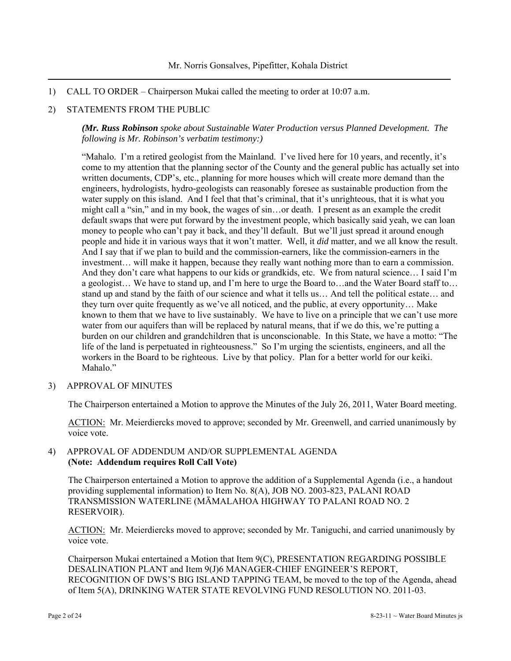1) CALL TO ORDER – Chairperson Mukai called the meeting to order at 10:07 a.m.

### 2) STATEMENTS FROM THE PUBLIC

*(Mr. Russ Robinson spoke about Sustainable Water Production versus Planned Development. The following is Mr. Robinson's verbatim testimony:)* 

"Mahalo. I'm a retired geologist from the Mainland. I've lived here for 10 years, and recently, it's come to my attention that the planning sector of the County and the general public has actually set into written documents, CDP's, etc., planning for more houses which will create more demand than the engineers, hydrologists, hydro-geologists can reasonably foresee as sustainable production from the water supply on this island. And I feel that that's criminal, that it's unrighteous, that it is what you might call a "sin," and in my book, the wages of sin…or death. I present as an example the credit default swaps that were put forward by the investment people, which basically said yeah, we can loan money to people who can't pay it back, and they'll default. But we'll just spread it around enough people and hide it in various ways that it won't matter. Well, it *did* matter, and we all know the result. And I say that if we plan to build and the commission-earners, like the commission-earners in the investment… will make it happen, because they really want nothing more than to earn a commission. And they don't care what happens to our kids or grandkids, etc. We from natural science... I said I'm a geologist… We have to stand up, and I'm here to urge the Board to…and the Water Board staff to… stand up and stand by the faith of our science and what it tells us… And tell the political estate… and they turn over quite frequently as we've all noticed, and the public, at every opportunity… Make known to them that we have to live sustainably. We have to live on a principle that we can't use more water from our aquifers than will be replaced by natural means, that if we do this, we're putting a burden on our children and grandchildren that is unconscionable. In this State, we have a motto: "The life of the land is perpetuated in righteousness." So I'm urging the scientists, engineers, and all the workers in the Board to be righteous. Live by that policy. Plan for a better world for our keiki. Mahalo."

3) APPROVAL OF MINUTES

The Chairperson entertained a Motion to approve the Minutes of the July 26, 2011, Water Board meeting.

ACTION: Mr. Meierdiercks moved to approve; seconded by Mr. Greenwell, and carried unanimously by voice vote.

### 4) APPROVAL OF ADDENDUM AND/OR SUPPLEMENTAL AGENDA **(Note: Addendum requires Roll Call Vote)**

The Chairperson entertained a Motion to approve the addition of a Supplemental Agenda (i.e., a handout providing supplemental information) to Item No. 8(A), JOB NO. 2003-823, PALANI ROAD TRANSMISSION WATERLINE (MĀMALAHOA HIGHWAY TO PALANI ROAD NO. 2 RESERVOIR).

ACTION: Mr. Meierdiercks moved to approve; seconded by Mr. Taniguchi, and carried unanimously by voice vote.

Chairperson Mukai entertained a Motion that Item 9(C), PRESENTATION REGARDING POSSIBLE DESALINATION PLANT and Item 9(J)6 MANAGER-CHIEF ENGINEER'S REPORT, RECOGNITION OF DWS'S BIG ISLAND TAPPING TEAM, be moved to the top of the Agenda, ahead of Item 5(A), DRINKING WATER STATE REVOLVING FUND RESOLUTION NO. 2011-03.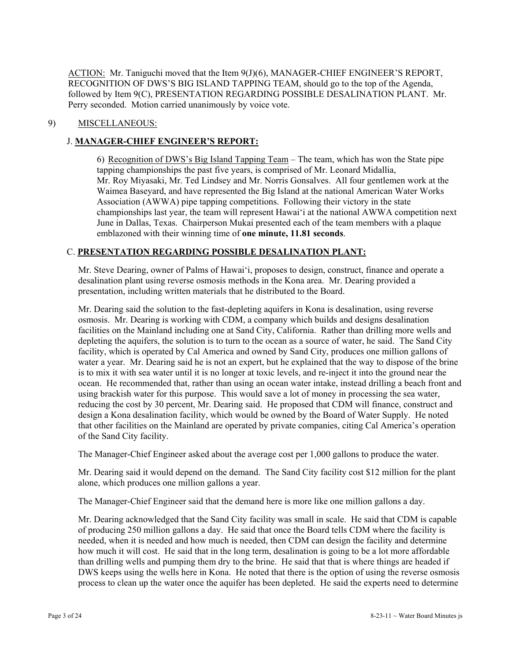ACTION: Mr. Taniguchi moved that the Item 9(J)(6), MANAGER-CHIEF ENGINEER'S REPORT, RECOGNITION OF DWS'S BIG ISLAND TAPPING TEAM, should go to the top of the Agenda, followed by Item 9(C), PRESENTATION REGARDING POSSIBLE DESALINATION PLANT. Mr. Perry seconded. Motion carried unanimously by voice vote.

## 9) MISCELLANEOUS:

## J. **MANAGER-CHIEF ENGINEER'S REPORT:**

6) Recognition of DWS's Big Island Tapping Team – The team, which has won the State pipe tapping championships the past five years, is comprised of Mr. Leonard Midallia, Mr. Roy Miyasaki, Mr. Ted Lindsey and Mr. Norris Gonsalves. All four gentlemen work at the Waimea Baseyard, and have represented the Big Island at the national American Water Works Association (AWWA) pipe tapping competitions. Following their victory in the state championships last year, the team will represent Hawai'i at the national AWWA competition next June in Dallas, Texas. Chairperson Mukai presented each of the team members with a plaque emblazoned with their winning time of **one minute, 11.81 seconds**.

### C. **PRESENTATION REGARDING POSSIBLE DESALINATION PLANT:**

Mr. Steve Dearing, owner of Palms of Hawai'i, proposes to design, construct, finance and operate a desalination plant using reverse osmosis methods in the Kona area. Mr. Dearing provided a presentation, including written materials that he distributed to the Board.

Mr. Dearing said the solution to the fast-depleting aquifers in Kona is desalination, using reverse osmosis. Mr. Dearing is working with CDM, a company which builds and designs desalination facilities on the Mainland including one at Sand City, California. Rather than drilling more wells and depleting the aquifers, the solution is to turn to the ocean as a source of water, he said. The Sand City facility, which is operated by Cal America and owned by Sand City, produces one million gallons of water a year. Mr. Dearing said he is not an expert, but he explained that the way to dispose of the brine is to mix it with sea water until it is no longer at toxic levels, and re-inject it into the ground near the ocean. He recommended that, rather than using an ocean water intake, instead drilling a beach front and using brackish water for this purpose. This would save a lot of money in processing the sea water, reducing the cost by 30 percent, Mr. Dearing said. He proposed that CDM will finance, construct and design a Kona desalination facility, which would be owned by the Board of Water Supply. He noted that other facilities on the Mainland are operated by private companies, citing Cal America's operation of the Sand City facility.

The Manager-Chief Engineer asked about the average cost per 1,000 gallons to produce the water.

Mr. Dearing said it would depend on the demand. The Sand City facility cost \$12 million for the plant alone, which produces one million gallons a year.

The Manager-Chief Engineer said that the demand here is more like one million gallons a day.

Mr. Dearing acknowledged that the Sand City facility was small in scale. He said that CDM is capable of producing 250 million gallons a day. He said that once the Board tells CDM where the facility is needed, when it is needed and how much is needed, then CDM can design the facility and determine how much it will cost. He said that in the long term, desalination is going to be a lot more affordable than drilling wells and pumping them dry to the brine. He said that that is where things are headed if DWS keeps using the wells here in Kona. He noted that there is the option of using the reverse osmosis process to clean up the water once the aquifer has been depleted. He said the experts need to determine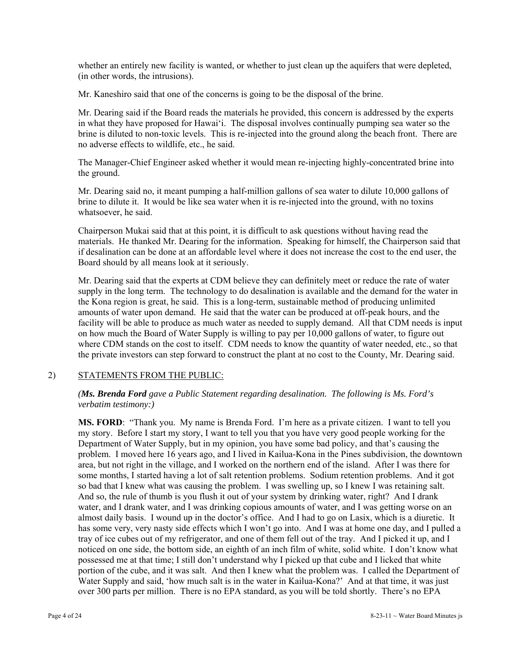whether an entirely new facility is wanted, or whether to just clean up the aquifers that were depleted, (in other words, the intrusions).

Mr. Kaneshiro said that one of the concerns is going to be the disposal of the brine.

Mr. Dearing said if the Board reads the materials he provided, this concern is addressed by the experts in what they have proposed for Hawai'i. The disposal involves continually pumping sea water so the brine is diluted to non-toxic levels. This is re-injected into the ground along the beach front. There are no adverse effects to wildlife, etc., he said.

The Manager-Chief Engineer asked whether it would mean re-injecting highly-concentrated brine into the ground.

Mr. Dearing said no, it meant pumping a half-million gallons of sea water to dilute 10,000 gallons of brine to dilute it. It would be like sea water when it is re-injected into the ground, with no toxins whatsoever, he said.

Chairperson Mukai said that at this point, it is difficult to ask questions without having read the materials. He thanked Mr. Dearing for the information. Speaking for himself, the Chairperson said that if desalination can be done at an affordable level where it does not increase the cost to the end user, the Board should by all means look at it seriously.

Mr. Dearing said that the experts at CDM believe they can definitely meet or reduce the rate of water supply in the long term. The technology to do desalination is available and the demand for the water in the Kona region is great, he said. This is a long-term, sustainable method of producing unlimited amounts of water upon demand. He said that the water can be produced at off-peak hours, and the facility will be able to produce as much water as needed to supply demand. All that CDM needs is input on how much the Board of Water Supply is willing to pay per 10,000 gallons of water, to figure out where CDM stands on the cost to itself. CDM needs to know the quantity of water needed, etc., so that the private investors can step forward to construct the plant at no cost to the County, Mr. Dearing said.

### 2) STATEMENTS FROM THE PUBLIC:

*(Ms. Brenda Ford gave a Public Statement regarding desalination. The following is Ms. Ford's verbatim testimony:)* 

**MS. FORD**: "Thank you. My name is Brenda Ford. I'm here as a private citizen. I want to tell you my story. Before I start my story, I want to tell you that you have very good people working for the Department of Water Supply, but in my opinion, you have some bad policy, and that's causing the problem. I moved here 16 years ago, and I lived in Kailua-Kona in the Pines subdivision, the downtown area, but not right in the village, and I worked on the northern end of the island. After I was there for some months, I started having a lot of salt retention problems. Sodium retention problems. And it got so bad that I knew what was causing the problem. I was swelling up, so I knew I was retaining salt. And so, the rule of thumb is you flush it out of your system by drinking water, right? And I drank water, and I drank water, and I was drinking copious amounts of water, and I was getting worse on an almost daily basis. I wound up in the doctor's office. And I had to go on Lasix, which is a diuretic. It has some very, very nasty side effects which I won't go into. And I was at home one day, and I pulled a tray of ice cubes out of my refrigerator, and one of them fell out of the tray. And I picked it up, and I noticed on one side, the bottom side, an eighth of an inch film of white, solid white. I don't know what possessed me at that time; I still don't understand why I picked up that cube and I licked that white portion of the cube, and it was salt. And then I knew what the problem was. I called the Department of Water Supply and said, 'how much salt is in the water in Kailua-Kona?' And at that time, it was just over 300 parts per million. There is no EPA standard, as you will be told shortly. There's no EPA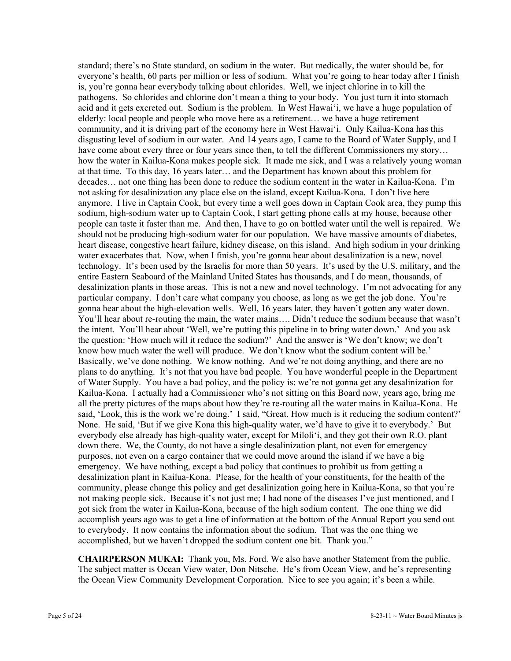standard; there's no State standard, on sodium in the water. But medically, the water should be, for everyone's health, 60 parts per million or less of sodium. What you're going to hear today after I finish is, you're gonna hear everybody talking about chlorides. Well, we inject chlorine in to kill the pathogens. So chlorides and chlorine don't mean a thing to your body. You just turn it into stomach acid and it gets excreted out. Sodium is the problem. In West Hawai'i, we have a huge population of elderly: local people and people who move here as a retirement… we have a huge retirement community, and it is driving part of the economy here in West Hawai'i. Only Kailua-Kona has this disgusting level of sodium in our water. And 14 years ago, I came to the Board of Water Supply, and I have come about every three or four years since then, to tell the different Commissioners my story... how the water in Kailua-Kona makes people sick. It made me sick, and I was a relatively young woman at that time. To this day, 16 years later… and the Department has known about this problem for decades… not one thing has been done to reduce the sodium content in the water in Kailua-Kona. I'm not asking for desalinization any place else on the island, except Kailua-Kona. I don't live here anymore. I live in Captain Cook, but every time a well goes down in Captain Cook area, they pump this sodium, high-sodium water up to Captain Cook, I start getting phone calls at my house, because other people can taste it faster than me. And then, I have to go on bottled water until the well is repaired. We should not be producing high-sodium water for our population. We have massive amounts of diabetes, heart disease, congestive heart failure, kidney disease, on this island. And high sodium in your drinking water exacerbates that. Now, when I finish, you're gonna hear about desalinization is a new, novel technology. It's been used by the Israelis for more than 50 years. It's used by the U.S. military, and the entire Eastern Seaboard of the Mainland United States has thousands, and I do mean, thousands, of desalinization plants in those areas. This is not a new and novel technology. I'm not advocating for any particular company. I don't care what company you choose, as long as we get the job done. You're gonna hear about the high-elevation wells. Well, 16 years later, they haven't gotten any water down. You'll hear about re-routing the main, the water mains…. Didn't reduce the sodium because that wasn't the intent. You'll hear about 'Well, we're putting this pipeline in to bring water down.' And you ask the question: 'How much will it reduce the sodium?' And the answer is 'We don't know; we don't know how much water the well will produce. We don't know what the sodium content will be.' Basically, we've done nothing. We know nothing. And we're not doing anything, and there are no plans to do anything. It's not that you have bad people. You have wonderful people in the Department of Water Supply. You have a bad policy, and the policy is: we're not gonna get any desalinization for Kailua-Kona. I actually had a Commissioner who's not sitting on this Board now, years ago, bring me all the pretty pictures of the maps about how they're re-routing all the water mains in Kailua-Kona. He said, 'Look, this is the work we're doing.' I said, "Great. How much is it reducing the sodium content?' None. He said, 'But if we give Kona this high-quality water, we'd have to give it to everybody.' But everybody else already has high-quality water, except for Miloli'i, and they got their own R.O. plant down there. We, the County, do not have a single desalinization plant, not even for emergency purposes, not even on a cargo container that we could move around the island if we have a big emergency. We have nothing, except a bad policy that continues to prohibit us from getting a desalinization plant in Kailua-Kona. Please, for the health of your constituents, for the health of the community, please change this policy and get desalinization going here in Kailua-Kona, so that you're not making people sick. Because it's not just me; I had none of the diseases I've just mentioned, and I got sick from the water in Kailua-Kona, because of the high sodium content. The one thing we did accomplish years ago was to get a line of information at the bottom of the Annual Report you send out to everybody. It now contains the information about the sodium. That was the one thing we accomplished, but we haven't dropped the sodium content one bit. Thank you."

**CHAIRPERSON MUKAI:** Thank you, Ms. Ford. We also have another Statement from the public. The subject matter is Ocean View water, Don Nitsche. He's from Ocean View, and he's representing the Ocean View Community Development Corporation. Nice to see you again; it's been a while.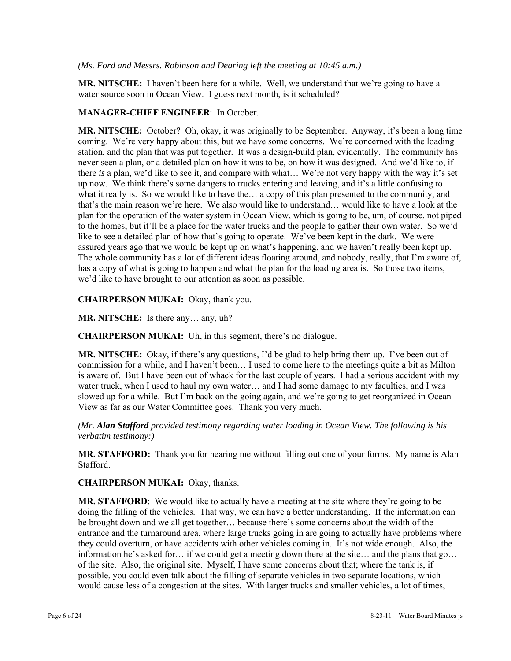#### *(Ms. Ford and Messrs. Robinson and Dearing left the meeting at 10:45 a.m.)*

**MR. NITSCHE:** I haven't been here for a while. Well, we understand that we're going to have a water source soon in Ocean View. I guess next month, is it scheduled?

#### **MANAGER-CHIEF ENGINEER**: In October.

**MR. NITSCHE:** October? Oh, okay, it was originally to be September. Anyway, it's been a long time coming. We're very happy about this, but we have some concerns. We're concerned with the loading station, and the plan that was put together. It was a design-build plan, evidentally. The community has never seen a plan, or a detailed plan on how it was to be, on how it was designed. And we'd like to, if there *is* a plan, we'd like to see it, and compare with what… We're not very happy with the way it's set up now. We think there's some dangers to trucks entering and leaving, and it's a little confusing to what it really is. So we would like to have the… a copy of this plan presented to the community, and that's the main reason we're here. We also would like to understand… would like to have a look at the plan for the operation of the water system in Ocean View, which is going to be, um, of course, not piped to the homes, but it'll be a place for the water trucks and the people to gather their own water. So we'd like to see a detailed plan of how that's going to operate. We've been kept in the dark. We were assured years ago that we would be kept up on what's happening, and we haven't really been kept up. The whole community has a lot of different ideas floating around, and nobody, really, that I'm aware of, has a copy of what is going to happen and what the plan for the loading area is. So those two items, we'd like to have brought to our attention as soon as possible.

**CHAIRPERSON MUKAI:** Okay, thank you.

**MR. NITSCHE:** Is there any… any, uh?

**CHAIRPERSON MUKAI:** Uh, in this segment, there's no dialogue.

**MR. NITSCHE:** Okay, if there's any questions, I'd be glad to help bring them up. I've been out of commission for a while, and I haven't been… I used to come here to the meetings quite a bit as Milton is aware of. But I have been out of whack for the last couple of years. I had a serious accident with my water truck, when I used to haul my own water… and I had some damage to my faculties, and I was slowed up for a while. But I'm back on the going again, and we're going to get reorganized in Ocean View as far as our Water Committee goes. Thank you very much.

*(Mr. Alan Stafford provided testimony regarding water loading in Ocean View. The following is his verbatim testimony:)* 

**MR. STAFFORD:** Thank you for hearing me without filling out one of your forms. My name is Alan Stafford.

**CHAIRPERSON MUKAI:** Okay, thanks.

**MR. STAFFORD**: We would like to actually have a meeting at the site where they're going to be doing the filling of the vehicles. That way, we can have a better understanding. If the information can be brought down and we all get together… because there's some concerns about the width of the entrance and the turnaround area, where large trucks going in are going to actually have problems where they could overturn, or have accidents with other vehicles coming in. It's not wide enough. Also, the information he's asked for… if we could get a meeting down there at the site… and the plans that go… of the site. Also, the original site. Myself, I have some concerns about that; where the tank is, if possible, you could even talk about the filling of separate vehicles in two separate locations, which would cause less of a congestion at the sites. With larger trucks and smaller vehicles, a lot of times,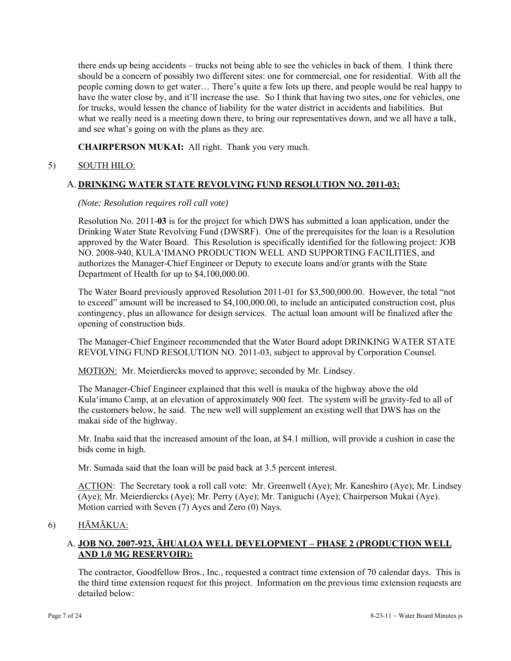there ends up being accidents – trucks not being able to see the vehicles in back of them. I think there should be a concern of possibly two different sites: one for commercial, one for residential. With all the people coming down to get water… There's quite a few lots up there, and people would be real happy to have the water close by, and it'll increase the use. So I think that having two sites, one for vehicles, one for trucks, would lessen the chance of liability for the water district in accidents and liabilities. But what we really need is a meeting down there, to bring our representatives down, and we all have a talk, and see what's going on with the plans as they are.

**CHAIRPERSON MUKAI:** All right. Thank you very much.

# 5) SOUTH HILO:

## A. **DRINKING WATER STATE REVOLVING FUND RESOLUTION NO. 2011-03:**

#### *(Note: Resolution requires roll call vote)*

Resolution No. 2011-**03** is for the project for which DWS has submitted a loan application, under the Drinking Water State Revolving Fund (DWSRF). One of the prerequisites for the loan is a Resolution approved by the Water Board. This Resolution is specifically identified for the following project: JOB NO. 2008-940, KULA'IMANO PRODUCTION WELL AND SUPPORTING FACILITIES, and authorizes the Manager-Chief Engineer or Deputy to execute loans and/or grants with the State Department of Health for up to \$4,100,000.00.

The Water Board previously approved Resolution 2011-01 for \$3,500,000.00. However, the total "not to exceed" amount will be increased to \$4,100,000.00, to include an anticipated construction cost, plus contingency, plus an allowance for design services. The actual loan amount will be finalized after the opening of construction bids.

The Manager-Chief Engineer recommended that the Water Board adopt DRINKING WATER STATE REVOLVING FUND RESOLUTION NO. 2011-03, subject to approval by Corporation Counsel.

MOTION: Mr. Meierdiercks moved to approve; seconded by Mr. Lindsey.

The Manager-Chief Engineer explained that this well is mauka of the highway above the old Kula'imano Camp, at an elevation of approximately 900 feet. The system will be gravity-fed to all of the customers below, he said. The new well will supplement an existing well that DWS has on the makai side of the highway.

Mr. Inaba said that the increased amount of the loan, at \$4.1 million, will provide a cushion in case the bids come in high.

Mr. Sumada said that the loan will be paid back at 3.5 percent interest.

ACTION: The Secretary took a roll call vote: Mr. Greenwell (Aye); Mr. Kaneshiro (Aye); Mr. Lindsey (Aye); Mr. Meierdiercks (Aye); Mr. Perry (Aye); Mr. Taniguchi (Aye); Chairperson Mukai (Aye). Motion carried with Seven (7) Ayes and Zero (0) Nays.

# 6) HĀMĀKUA:

# A. **JOB NO. 2007-923, ĀHUALOA WELL DEVELOPMENT – PHASE 2 (PRODUCTION WELL AND 1.0 MG RESERVOIR):**

The contractor, Goodfellow Bros., Inc., requested a contract time extension of 70 calendar days. This is the third time extension request for this project. Information on the previous time extension requests are detailed below: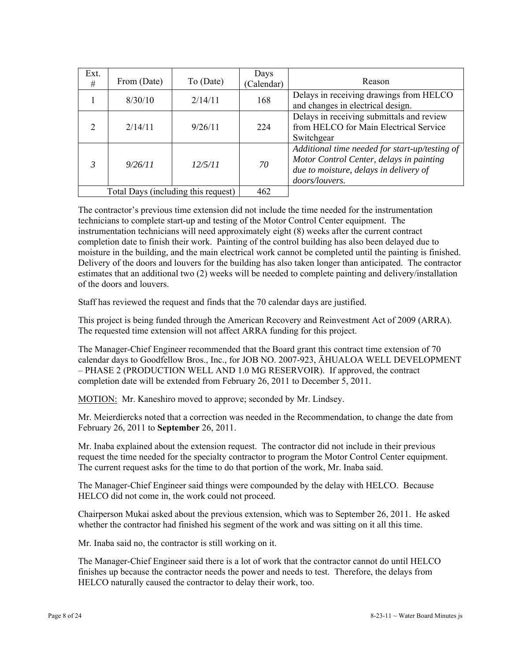| Ext.<br>#                           | From (Date) | To (Date) | Days<br>(Calendar) | Reason                                                                                                                                                 |
|-------------------------------------|-------------|-----------|--------------------|--------------------------------------------------------------------------------------------------------------------------------------------------------|
|                                     | 8/30/10     | 2/14/11   | 168                | Delays in receiving drawings from HELCO<br>and changes in electrical design.                                                                           |
| $\mathcal{D}$                       | 2/14/11     | 9/26/11   | 224                | Delays in receiving submittals and review<br>from HELCO for Main Electrical Service<br>Switchgear                                                      |
|                                     | 9/26/11     | 12/5/11   | 70                 | Additional time needed for start-up/testing of<br>Motor Control Center, delays in painting<br>due to moisture, delays in delivery of<br>doors/louvers. |
| Total Days (including this request) |             |           | 462                |                                                                                                                                                        |

The contractor's previous time extension did not include the time needed for the instrumentation technicians to complete start-up and testing of the Motor Control Center equipment. The instrumentation technicians will need approximately eight (8) weeks after the current contract completion date to finish their work. Painting of the control building has also been delayed due to moisture in the building, and the main electrical work cannot be completed until the painting is finished. Delivery of the doors and louvers for the building has also taken longer than anticipated. The contractor estimates that an additional two (2) weeks will be needed to complete painting and delivery/installation of the doors and louvers.

Staff has reviewed the request and finds that the 70 calendar days are justified.

This project is being funded through the American Recovery and Reinvestment Act of 2009 (ARRA). The requested time extension will not affect ARRA funding for this project.

The Manager-Chief Engineer recommended that the Board grant this contract time extension of 70 calendar days to Goodfellow Bros., Inc., for JOB NO. 2007-923, ĀHUALOA WELL DEVELOPMENT – PHASE 2 (PRODUCTION WELL AND 1.0 MG RESERVOIR). If approved, the contract completion date will be extended from February 26, 2011 to December 5, 2011.

MOTION: Mr. Kaneshiro moved to approve; seconded by Mr. Lindsey.

Mr. Meierdiercks noted that a correction was needed in the Recommendation, to change the date from February 26, 2011 to **September** 26, 2011.

Mr. Inaba explained about the extension request. The contractor did not include in their previous request the time needed for the specialty contractor to program the Motor Control Center equipment. The current request asks for the time to do that portion of the work, Mr. Inaba said.

The Manager-Chief Engineer said things were compounded by the delay with HELCO. Because HELCO did not come in, the work could not proceed.

Chairperson Mukai asked about the previous extension, which was to September 26, 2011. He asked whether the contractor had finished his segment of the work and was sitting on it all this time.

Mr. Inaba said no, the contractor is still working on it.

The Manager-Chief Engineer said there is a lot of work that the contractor cannot do until HELCO finishes up because the contractor needs the power and needs to test. Therefore, the delays from HELCO naturally caused the contractor to delay their work, too.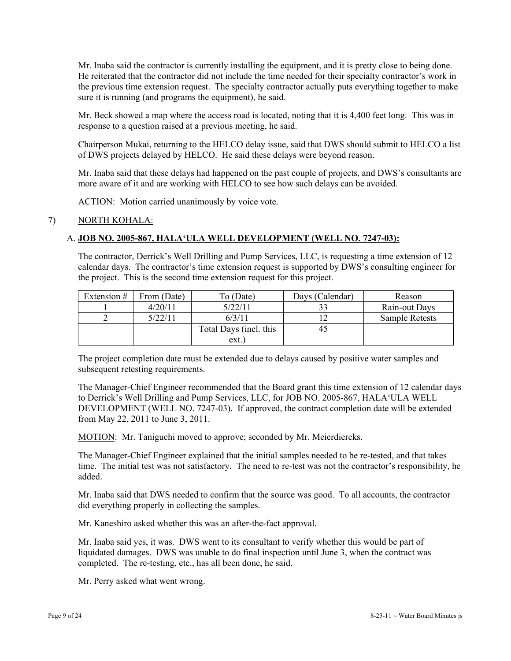Mr. Inaba said the contractor is currently installing the equipment, and it is pretty close to being done. He reiterated that the contractor did not include the time needed for their specialty contractor's work in the previous time extension request. The specialty contractor actually puts everything together to make sure it is running (and programs the equipment), he said.

Mr. Beck showed a map where the access road is located, noting that it is 4,400 feet long. This was in response to a question raised at a previous meeting, he said.

Chairperson Mukai, returning to the HELCO delay issue, said that DWS should submit to HELCO a list of DWS projects delayed by HELCO. He said these delays were beyond reason.

Mr. Inaba said that these delays had happened on the past couple of projects, and DWS's consultants are more aware of it and are working with HELCO to see how such delays can be avoided.

ACTION: Motion carried unanimously by voice vote.

### 7) NORTH KOHALA:

## A. **JOB NO. 2005-867, HALA'ULA WELL DEVELOPMENT (WELL NO. 7247-03):**

The contractor, Derrick's Well Drilling and Pump Services, LLC, is requesting a time extension of 12 calendar days. The contractor's time extension request is supported by DWS's consulting engineer for the project. This is the second time extension request for this project.

| Extension $#$ | From (Date) | To (Date)              | Days (Calendar) | Reason         |
|---------------|-------------|------------------------|-----------------|----------------|
|               | 4/20/11     | 5/22/11                |                 | Rain-out Days  |
|               | 5/22/11     | 6/3/11                 |                 | Sample Retests |
|               |             | Total Days (incl. this |                 |                |
|               |             | ext.                   |                 |                |

The project completion date must be extended due to delays caused by positive water samples and subsequent retesting requirements.

The Manager-Chief Engineer recommended that the Board grant this time extension of 12 calendar days to Derrick's Well Drilling and Pump Services, LLC, for JOB NO. 2005-867, HALA'ULA WELL DEVELOPMENT (WELL NO. 7247-03). If approved, the contract completion date will be extended from May 22, 2011 to June 3, 2011.

MOTION: Mr. Taniguchi moved to approve; seconded by Mr. Meierdiercks.

The Manager-Chief Engineer explained that the initial samples needed to be re-tested, and that takes time. The initial test was not satisfactory. The need to re-test was not the contractor's responsibility, he added.

Mr. Inaba said that DWS needed to confirm that the source was good. To all accounts, the contractor did everything properly in collecting the samples.

Mr. Kaneshiro asked whether this was an after-the-fact approval.

Mr. Inaba said yes, it was. DWS went to its consultant to verify whether this would be part of liquidated damages. DWS was unable to do final inspection until June 3, when the contract was completed. The re-testing, etc., has all been done, he said.

Mr. Perry asked what went wrong.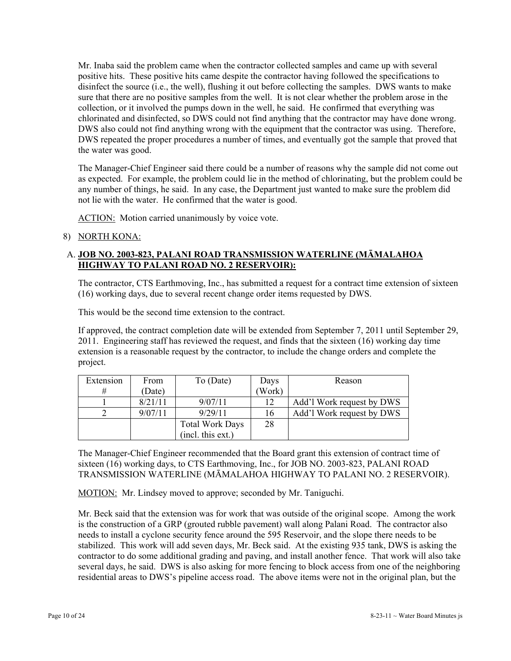Mr. Inaba said the problem came when the contractor collected samples and came up with several positive hits. These positive hits came despite the contractor having followed the specifications to disinfect the source (i.e., the well), flushing it out before collecting the samples. DWS wants to make sure that there are no positive samples from the well. It is not clear whether the problem arose in the collection, or it involved the pumps down in the well, he said. He confirmed that everything was chlorinated and disinfected, so DWS could not find anything that the contractor may have done wrong. DWS also could not find anything wrong with the equipment that the contractor was using. Therefore, DWS repeated the proper procedures a number of times, and eventually got the sample that proved that the water was good.

The Manager-Chief Engineer said there could be a number of reasons why the sample did not come out as expected. For example, the problem could lie in the method of chlorinating, but the problem could be any number of things, he said. In any case, the Department just wanted to make sure the problem did not lie with the water. He confirmed that the water is good.

ACTION: Motion carried unanimously by voice vote.

## 8) NORTH KONA:

# A. **JOB NO. 2003-823, PALANI ROAD TRANSMISSION WATERLINE (MĀMALAHOA HIGHWAY TO PALANI ROAD NO. 2 RESERVOIR):**

The contractor, CTS Earthmoving, Inc., has submitted a request for a contract time extension of sixteen (16) working days, due to several recent change order items requested by DWS.

This would be the second time extension to the contract.

If approved, the contract completion date will be extended from September 7, 2011 until September 29, 2011. Engineering staff has reviewed the request, and finds that the sixteen (16) working day time extension is a reasonable request by the contractor, to include the change orders and complete the project.

| Extension | From    | To (Date)              | Days  | Reason                    |
|-----------|---------|------------------------|-------|---------------------------|
| #         | (Date)  |                        | Work) |                           |
|           | 8/21/11 | 9/07/11                | 12    | Add'l Work request by DWS |
|           | 9/07/11 | 9/29/11                | 16    | Add'l Work request by DWS |
|           |         | <b>Total Work Days</b> | 28    |                           |
|           |         | (incl. this ext.)      |       |                           |

The Manager-Chief Engineer recommended that the Board grant this extension of contract time of sixteen (16) working days, to CTS Earthmoving, Inc., for JOB NO. 2003-823, PALANI ROAD TRANSMISSION WATERLINE (MĀMALAHOA HIGHWAY TO PALANI NO. 2 RESERVOIR).

MOTION: Mr. Lindsey moved to approve; seconded by Mr. Taniguchi.

Mr. Beck said that the extension was for work that was outside of the original scope. Among the work is the construction of a GRP (grouted rubble pavement) wall along Palani Road. The contractor also needs to install a cyclone security fence around the 595 Reservoir, and the slope there needs to be stabilized. This work will add seven days, Mr. Beck said. At the existing 935 tank, DWS is asking the contractor to do some additional grading and paving, and install another fence. That work will also take several days, he said. DWS is also asking for more fencing to block access from one of the neighboring residential areas to DWS's pipeline access road. The above items were not in the original plan, but the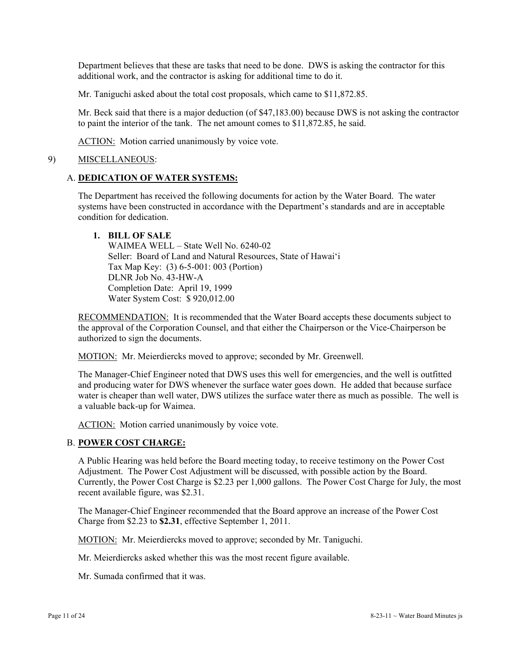Department believes that these are tasks that need to be done. DWS is asking the contractor for this additional work, and the contractor is asking for additional time to do it.

Mr. Taniguchi asked about the total cost proposals, which came to \$11,872.85.

Mr. Beck said that there is a major deduction (of \$47,183.00) because DWS is not asking the contractor to paint the interior of the tank. The net amount comes to \$11,872.85, he said.

ACTION: Motion carried unanimously by voice vote.

#### 9) MISCELLANEOUS:

#### A. **DEDICATION OF WATER SYSTEMS:**

The Department has received the following documents for action by the Water Board. The water systems have been constructed in accordance with the Department's standards and are in acceptable condition for dedication.

## **1. BILL OF SALE**

 WAIMEA WELL – State Well No. 6240-02 Seller: Board of Land and Natural Resources, State of Hawai'i Tax Map Key: (3) 6-5-001: 003 (Portion) DLNR Job No. 43-HW-A Completion Date: April 19, 1999 Water System Cost: \$ 920,012.00

RECOMMENDATION: It is recommended that the Water Board accepts these documents subject to the approval of the Corporation Counsel, and that either the Chairperson or the Vice-Chairperson be authorized to sign the documents.

MOTION: Mr. Meierdiercks moved to approve; seconded by Mr. Greenwell.

The Manager-Chief Engineer noted that DWS uses this well for emergencies, and the well is outfitted and producing water for DWS whenever the surface water goes down. He added that because surface water is cheaper than well water, DWS utilizes the surface water there as much as possible. The well is a valuable back-up for Waimea.

ACTION: Motion carried unanimously by voice vote.

### B. **POWER COST CHARGE:**

A Public Hearing was held before the Board meeting today, to receive testimony on the Power Cost Adjustment. The Power Cost Adjustment will be discussed, with possible action by the Board. Currently, the Power Cost Charge is \$2.23 per 1,000 gallons. The Power Cost Charge for July, the most recent available figure, was \$2.31.

The Manager-Chief Engineer recommended that the Board approve an increase of the Power Cost Charge from \$2.23 to **\$2.31**, effective September 1, 2011.

MOTION: Mr. Meierdiercks moved to approve; seconded by Mr. Taniguchi.

Mr. Meierdiercks asked whether this was the most recent figure available.

Mr. Sumada confirmed that it was.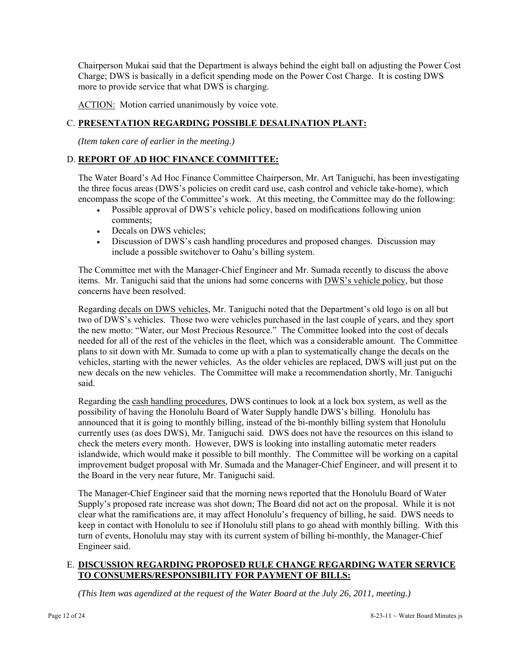Chairperson Mukai said that the Department is always behind the eight ball on adjusting the Power Cost Charge; DWS is basically in a deficit spending mode on the Power Cost Charge. It is costing DWS more to provide service that what DWS is charging.

ACTION: Motion carried unanimously by voice vote.

# C. **PRESENTATION REGARDING POSSIBLE DESALINATION PLANT:**

*(Item taken care of earlier in the meeting.)* 

# D. **REPORT OF AD HOC FINANCE COMMITTEE:**

The Water Board's Ad Hoc Finance Committee Chairperson, Mr. Art Taniguchi, has been investigating the three focus areas (DWS's policies on credit card use, cash control and vehicle take-home), which encompass the scope of the Committee's work. At this meeting, the Committee may do the following:

- Possible approval of DWS's vehicle policy, based on modifications following union comments;
- Decals on DWS vehicles;
- Discussion of DWS's cash handling procedures and proposed changes. Discussion may include a possible switchover to Oahu's billing system.

The Committee met with the Manager-Chief Engineer and Mr. Sumada recently to discuss the above items. Mr. Taniguchi said that the unions had some concerns with DWS's vehicle policy, but those concerns have been resolved.

Regarding decals on DWS vehicles, Mr. Taniguchi noted that the Department's old logo is on all but two of DWS's vehicles. Those two were vehicles purchased in the last couple of years, and they sport the new motto: "Water, our Most Precious Resource." The Committee looked into the cost of decals needed for all of the rest of the vehicles in the fleet, which was a considerable amount. The Committee plans to sit down with Mr. Sumada to come up with a plan to systematically change the decals on the vehicles, starting with the newer vehicles. As the older vehicles are replaced, DWS will just put on the new decals on the new vehicles. The Committee will make a recommendation shortly, Mr. Taniguchi said.

Regarding the cash handling procedures, DWS continues to look at a lock box system, as well as the possibility of having the Honolulu Board of Water Supply handle DWS's billing. Honolulu has announced that it is going to monthly billing, instead of the bi-monthly billing system that Honolulu currently uses (as does DWS), Mr. Taniguchi said. DWS does not have the resources on this island to check the meters every month. However, DWS is looking into installing automatic meter readers islandwide, which would make it possible to bill monthly. The Committee will be working on a capital improvement budget proposal with Mr. Sumada and the Manager-Chief Engineer, and will present it to the Board in the very near future, Mr. Taniguchi said.

The Manager-Chief Engineer said that the morning news reported that the Honolulu Board of Water Supply's proposed rate increase was shot down; The Board did not act on the proposal. While it is not clear what the ramifications are, it may affect Honolulu's frequency of billing, he said. DWS needs to keep in contact with Honolulu to see if Honolulu still plans to go ahead with monthly billing. With this turn of events, Honolulu may stay with its current system of billing bi-monthly, the Manager-Chief Engineer said.

## E. **DISCUSSION REGARDING PROPOSED RULE CHANGE REGARDING WATER SERVICE TO CONSUMERS/RESPONSIBILITY FOR PAYMENT OF BILLS:**

*(This Item was agendized at the request of the Water Board at the July 26, 2011, meeting.)*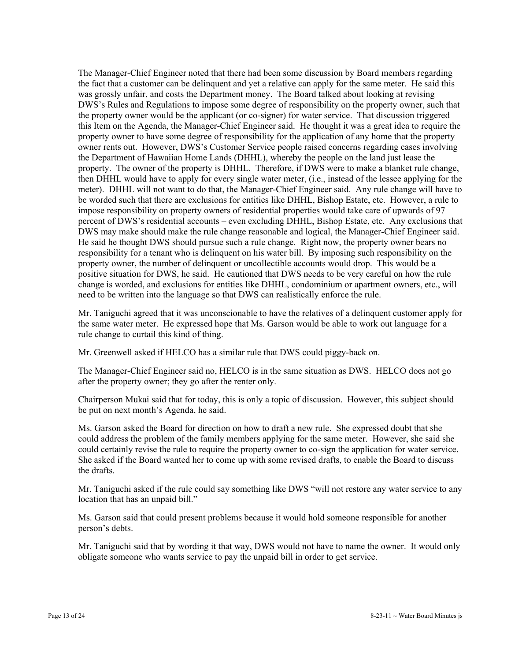The Manager-Chief Engineer noted that there had been some discussion by Board members regarding the fact that a customer can be delinquent and yet a relative can apply for the same meter. He said this was grossly unfair, and costs the Department money. The Board talked about looking at revising DWS's Rules and Regulations to impose some degree of responsibility on the property owner, such that the property owner would be the applicant (or co-signer) for water service. That discussion triggered this Item on the Agenda, the Manager-Chief Engineer said. He thought it was a great idea to require the property owner to have some degree of responsibility for the application of any home that the property owner rents out. However, DWS's Customer Service people raised concerns regarding cases involving the Department of Hawaiian Home Lands (DHHL), whereby the people on the land just lease the property. The owner of the property is DHHL. Therefore, if DWS were to make a blanket rule change, then DHHL would have to apply for every single water meter, (i.e., instead of the lessee applying for the meter). DHHL will not want to do that, the Manager-Chief Engineer said. Any rule change will have to be worded such that there are exclusions for entities like DHHL, Bishop Estate, etc. However, a rule to impose responsibility on property owners of residential properties would take care of upwards of 97 percent of DWS's residential accounts – even excluding DHHL, Bishop Estate, etc. Any exclusions that DWS may make should make the rule change reasonable and logical, the Manager-Chief Engineer said. He said he thought DWS should pursue such a rule change. Right now, the property owner bears no responsibility for a tenant who is delinquent on his water bill. By imposing such responsibility on the property owner, the number of delinquent or uncollectible accounts would drop. This would be a positive situation for DWS, he said. He cautioned that DWS needs to be very careful on how the rule change is worded, and exclusions for entities like DHHL, condominium or apartment owners, etc., will need to be written into the language so that DWS can realistically enforce the rule.

Mr. Taniguchi agreed that it was unconscionable to have the relatives of a delinquent customer apply for the same water meter. He expressed hope that Ms. Garson would be able to work out language for a rule change to curtail this kind of thing.

Mr. Greenwell asked if HELCO has a similar rule that DWS could piggy-back on.

The Manager-Chief Engineer said no, HELCO is in the same situation as DWS. HELCO does not go after the property owner; they go after the renter only.

Chairperson Mukai said that for today, this is only a topic of discussion. However, this subject should be put on next month's Agenda, he said.

Ms. Garson asked the Board for direction on how to draft a new rule. She expressed doubt that she could address the problem of the family members applying for the same meter. However, she said she could certainly revise the rule to require the property owner to co-sign the application for water service. She asked if the Board wanted her to come up with some revised drafts, to enable the Board to discuss the drafts.

Mr. Taniguchi asked if the rule could say something like DWS "will not restore any water service to any location that has an unpaid bill."

Ms. Garson said that could present problems because it would hold someone responsible for another person's debts.

Mr. Taniguchi said that by wording it that way, DWS would not have to name the owner. It would only obligate someone who wants service to pay the unpaid bill in order to get service.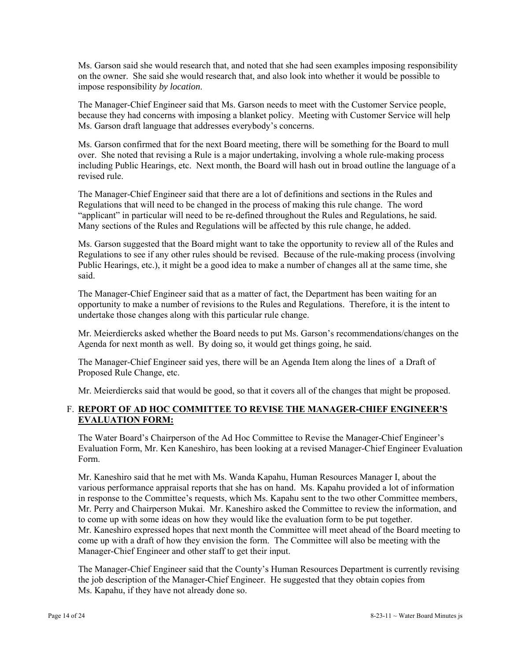Ms. Garson said she would research that, and noted that she had seen examples imposing responsibility on the owner. She said she would research that, and also look into whether it would be possible to impose responsibility *by location*.

The Manager-Chief Engineer said that Ms. Garson needs to meet with the Customer Service people, because they had concerns with imposing a blanket policy. Meeting with Customer Service will help Ms. Garson draft language that addresses everybody's concerns.

Ms. Garson confirmed that for the next Board meeting, there will be something for the Board to mull over. She noted that revising a Rule is a major undertaking, involving a whole rule-making process including Public Hearings, etc. Next month, the Board will hash out in broad outline the language of a revised rule.

The Manager-Chief Engineer said that there are a lot of definitions and sections in the Rules and Regulations that will need to be changed in the process of making this rule change. The word "applicant" in particular will need to be re-defined throughout the Rules and Regulations, he said. Many sections of the Rules and Regulations will be affected by this rule change, he added.

Ms. Garson suggested that the Board might want to take the opportunity to review all of the Rules and Regulations to see if any other rules should be revised. Because of the rule-making process (involving Public Hearings, etc.), it might be a good idea to make a number of changes all at the same time, she said.

The Manager-Chief Engineer said that as a matter of fact, the Department has been waiting for an opportunity to make a number of revisions to the Rules and Regulations. Therefore, it is the intent to undertake those changes along with this particular rule change.

Mr. Meierdiercks asked whether the Board needs to put Ms. Garson's recommendations/changes on the Agenda for next month as well. By doing so, it would get things going, he said.

The Manager-Chief Engineer said yes, there will be an Agenda Item along the lines of a Draft of Proposed Rule Change, etc.

Mr. Meierdiercks said that would be good, so that it covers all of the changes that might be proposed.

# F. **REPORT OF AD HOC COMMITTEE TO REVISE THE MANAGER-CHIEF ENGINEER'S EVALUATION FORM:**

The Water Board's Chairperson of the Ad Hoc Committee to Revise the Manager-Chief Engineer's Evaluation Form, Mr. Ken Kaneshiro, has been looking at a revised Manager-Chief Engineer Evaluation Form.

Mr. Kaneshiro said that he met with Ms. Wanda Kapahu, Human Resources Manager I, about the various performance appraisal reports that she has on hand. Ms. Kapahu provided a lot of information in response to the Committee's requests, which Ms. Kapahu sent to the two other Committee members, Mr. Perry and Chairperson Mukai. Mr. Kaneshiro asked the Committee to review the information, and to come up with some ideas on how they would like the evaluation form to be put together. Mr. Kaneshiro expressed hopes that next month the Committee will meet ahead of the Board meeting to come up with a draft of how they envision the form. The Committee will also be meeting with the Manager-Chief Engineer and other staff to get their input.

The Manager-Chief Engineer said that the County's Human Resources Department is currently revising the job description of the Manager-Chief Engineer. He suggested that they obtain copies from Ms. Kapahu, if they have not already done so.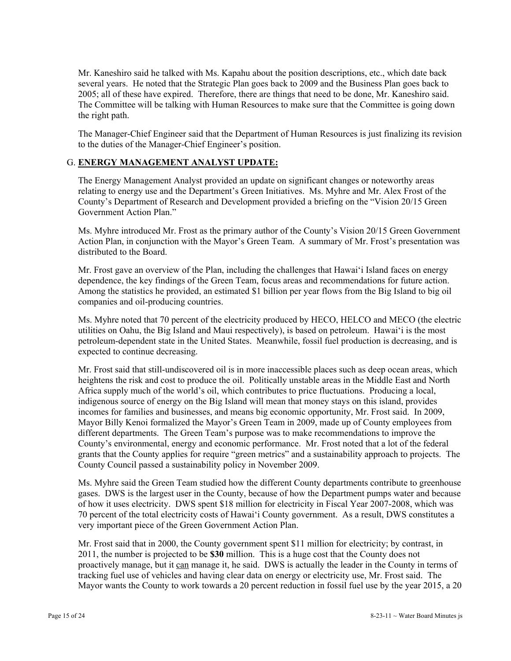Mr. Kaneshiro said he talked with Ms. Kapahu about the position descriptions, etc., which date back several years. He noted that the Strategic Plan goes back to 2009 and the Business Plan goes back to 2005; all of these have expired. Therefore, there are things that need to be done, Mr. Kaneshiro said. The Committee will be talking with Human Resources to make sure that the Committee is going down the right path.

The Manager-Chief Engineer said that the Department of Human Resources is just finalizing its revision to the duties of the Manager-Chief Engineer's position.

### G. **ENERGY MANAGEMENT ANALYST UPDATE:**

The Energy Management Analyst provided an update on significant changes or noteworthy areas relating to energy use and the Department's Green Initiatives. Ms. Myhre and Mr. Alex Frost of the County's Department of Research and Development provided a briefing on the "Vision 20/15 Green Government Action Plan."

Ms. Myhre introduced Mr. Frost as the primary author of the County's Vision 20/15 Green Government Action Plan, in conjunction with the Mayor's Green Team. A summary of Mr. Frost's presentation was distributed to the Board.

Mr. Frost gave an overview of the Plan, including the challenges that Hawai'i Island faces on energy dependence, the key findings of the Green Team, focus areas and recommendations for future action. Among the statistics he provided, an estimated \$1 billion per year flows from the Big Island to big oil companies and oil-producing countries.

Ms. Myhre noted that 70 percent of the electricity produced by HECO, HELCO and MECO (the electric utilities on Oahu, the Big Island and Maui respectively), is based on petroleum. Hawai'i is the most petroleum-dependent state in the United States. Meanwhile, fossil fuel production is decreasing, and is expected to continue decreasing.

Mr. Frost said that still-undiscovered oil is in more inaccessible places such as deep ocean areas, which heightens the risk and cost to produce the oil. Politically unstable areas in the Middle East and North Africa supply much of the world's oil, which contributes to price fluctuations. Producing a local, indigenous source of energy on the Big Island will mean that money stays on this island, provides incomes for families and businesses, and means big economic opportunity, Mr. Frost said. In 2009, Mayor Billy Kenoi formalized the Mayor's Green Team in 2009, made up of County employees from different departments. The Green Team's purpose was to make recommendations to improve the County's environmental, energy and economic performance. Mr. Frost noted that a lot of the federal grants that the County applies for require "green metrics" and a sustainability approach to projects. The County Council passed a sustainability policy in November 2009.

Ms. Myhre said the Green Team studied how the different County departments contribute to greenhouse gases. DWS is the largest user in the County, because of how the Department pumps water and because of how it uses electricity. DWS spent \$18 million for electricity in Fiscal Year 2007-2008, which was 70 percent of the total electricity costs of Hawai'i County government. As a result, DWS constitutes a very important piece of the Green Government Action Plan.

Mr. Frost said that in 2000, the County government spent \$11 million for electricity; by contrast, in 2011, the number is projected to be **\$30** million. This is a huge cost that the County does not proactively manage, but it can manage it, he said. DWS is actually the leader in the County in terms of tracking fuel use of vehicles and having clear data on energy or electricity use, Mr. Frost said. The Mayor wants the County to work towards a 20 percent reduction in fossil fuel use by the year 2015, a 20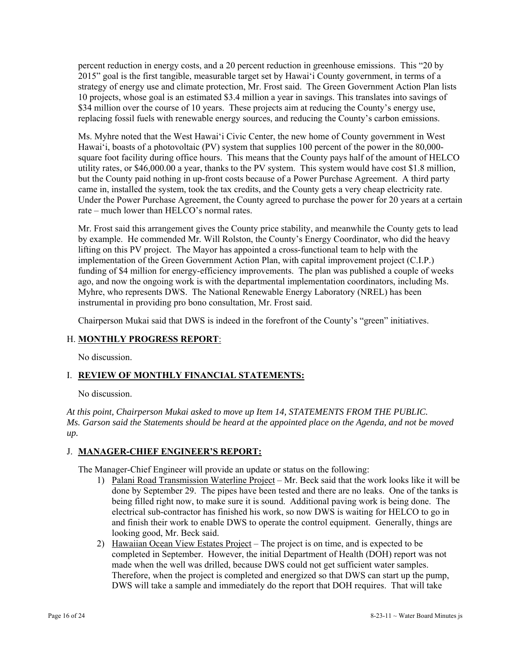percent reduction in energy costs, and a 20 percent reduction in greenhouse emissions. This "20 by 2015" goal is the first tangible, measurable target set by Hawai'i County government, in terms of a strategy of energy use and climate protection, Mr. Frost said. The Green Government Action Plan lists 10 projects, whose goal is an estimated \$3.4 million a year in savings. This translates into savings of \$34 million over the course of 10 years. These projects aim at reducing the County's energy use, replacing fossil fuels with renewable energy sources, and reducing the County's carbon emissions.

Ms. Myhre noted that the West Hawai'i Civic Center, the new home of County government in West Hawai'i, boasts of a photovoltaic (PV) system that supplies 100 percent of the power in the 80,000 square foot facility during office hours. This means that the County pays half of the amount of HELCO utility rates, or \$46,000.00 a year, thanks to the PV system. This system would have cost \$1.8 million, but the County paid nothing in up-front costs because of a Power Purchase Agreement. A third party came in, installed the system, took the tax credits, and the County gets a very cheap electricity rate. Under the Power Purchase Agreement, the County agreed to purchase the power for 20 years at a certain rate – much lower than HELCO's normal rates.

Mr. Frost said this arrangement gives the County price stability, and meanwhile the County gets to lead by example. He commended Mr. Will Rolston, the County's Energy Coordinator, who did the heavy lifting on this PV project. The Mayor has appointed a cross-functional team to help with the implementation of the Green Government Action Plan, with capital improvement project (C.I.P.) funding of \$4 million for energy-efficiency improvements. The plan was published a couple of weeks ago, and now the ongoing work is with the departmental implementation coordinators, including Ms. Myhre, who represents DWS. The National Renewable Energy Laboratory (NREL) has been instrumental in providing pro bono consultation, Mr. Frost said.

Chairperson Mukai said that DWS is indeed in the forefront of the County's "green" initiatives.

# H. **MONTHLY PROGRESS REPORT**:

No discussion.

# I. **REVIEW OF MONTHLY FINANCIAL STATEMENTS:**

No discussion.

*At this point, Chairperson Mukai asked to move up Item 14, STATEMENTS FROM THE PUBLIC. Ms. Garson said the Statements should be heard at the appointed place on the Agenda, and not be moved up.* 

# J. **MANAGER-CHIEF ENGINEER'S REPORT:**

The Manager-Chief Engineer will provide an update or status on the following:

- 1) Palani Road Transmission Waterline Project Mr. Beck said that the work looks like it will be done by September 29. The pipes have been tested and there are no leaks. One of the tanks is being filled right now, to make sure it is sound. Additional paving work is being done. The electrical sub-contractor has finished his work, so now DWS is waiting for HELCO to go in and finish their work to enable DWS to operate the control equipment. Generally, things are looking good, Mr. Beck said.
- 2) Hawaiian Ocean View Estates Project The project is on time, and is expected to be completed in September. However, the initial Department of Health (DOH) report was not made when the well was drilled, because DWS could not get sufficient water samples. Therefore, when the project is completed and energized so that DWS can start up the pump, DWS will take a sample and immediately do the report that DOH requires. That will take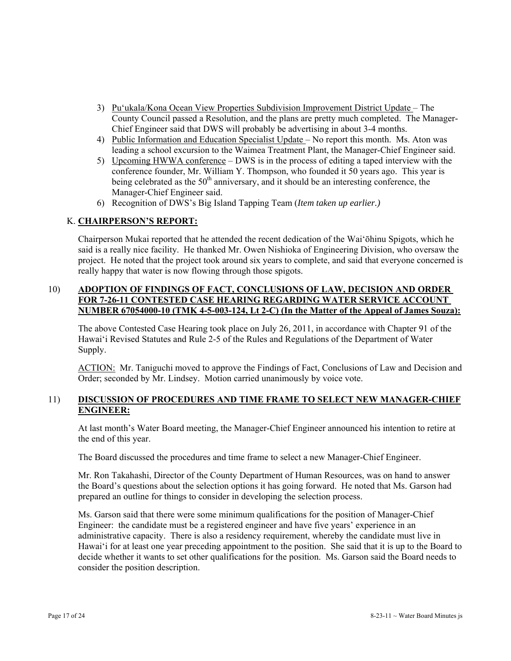- 3) Pu'ukala/Kona Ocean View Properties Subdivision Improvement District Update The County Council passed a Resolution, and the plans are pretty much completed. The Manager-Chief Engineer said that DWS will probably be advertising in about 3-4 months.
- 4) Public Information and Education Specialist Update No report this month. Ms. Aton was leading a school excursion to the Waimea Treatment Plant, the Manager-Chief Engineer said.
- 5) Upcoming HWWA conference DWS is in the process of editing a taped interview with the conference founder, Mr. William Y. Thompson, who founded it 50 years ago. This year is being celebrated as the  $50<sup>th</sup>$  anniversary, and it should be an interesting conference, the Manager-Chief Engineer said.
- 6) Recognition of DWS's Big Island Tapping Team (*Item taken up earlier.)*

## K. **CHAIRPERSON'S REPORT:**

Chairperson Mukai reported that he attended the recent dedication of the Wai'ōhinu Spigots, which he said is a really nice facility. He thanked Mr. Owen Nishioka of Engineering Division, who oversaw the project. He noted that the project took around six years to complete, and said that everyone concerned is really happy that water is now flowing through those spigots.

# 10) **ADOPTION OF FINDINGS OF FACT, CONCLUSIONS OF LAW, DECISION AND ORDER FOR 7-26-11 CONTESTED CASE HEARING REGARDING WATER SERVICE ACCOUNT NUMBER 67054000-10 (TMK 4-5-003-124, Lt 2-C) (In the Matter of the Appeal of James Souza):**

The above Contested Case Hearing took place on July 26, 2011, in accordance with Chapter 91 of the Hawai'i Revised Statutes and Rule 2-5 of the Rules and Regulations of the Department of Water Supply.

ACTION: Mr. Taniguchi moved to approve the Findings of Fact, Conclusions of Law and Decision and Order; seconded by Mr. Lindsey. Motion carried unanimously by voice vote.

## 11) **DISCUSSION OF PROCEDURES AND TIME FRAME TO SELECT NEW MANAGER-CHIEF ENGINEER:**

At last month's Water Board meeting, the Manager-Chief Engineer announced his intention to retire at the end of this year.

The Board discussed the procedures and time frame to select a new Manager-Chief Engineer.

Mr. Ron Takahashi, Director of the County Department of Human Resources, was on hand to answer the Board's questions about the selection options it has going forward. He noted that Ms. Garson had prepared an outline for things to consider in developing the selection process.

Ms. Garson said that there were some minimum qualifications for the position of Manager-Chief Engineer: the candidate must be a registered engineer and have five years' experience in an administrative capacity. There is also a residency requirement, whereby the candidate must live in Hawai'i for at least one year preceding appointment to the position. She said that it is up to the Board to decide whether it wants to set other qualifications for the position. Ms. Garson said the Board needs to consider the position description.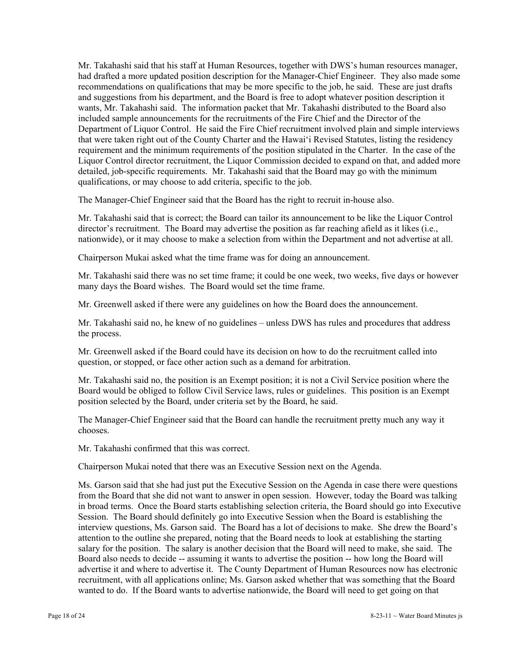Mr. Takahashi said that his staff at Human Resources, together with DWS's human resources manager, had drafted a more updated position description for the Manager-Chief Engineer. They also made some recommendations on qualifications that may be more specific to the job, he said. These are just drafts and suggestions from his department, and the Board is free to adopt whatever position description it wants, Mr. Takahashi said. The information packet that Mr. Takahashi distributed to the Board also included sample announcements for the recruitments of the Fire Chief and the Director of the Department of Liquor Control. He said the Fire Chief recruitment involved plain and simple interviews that were taken right out of the County Charter and the Hawai'i Revised Statutes, listing the residency requirement and the minimum requirements of the position stipulated in the Charter. In the case of the Liquor Control director recruitment, the Liquor Commission decided to expand on that, and added more detailed, job-specific requirements. Mr. Takahashi said that the Board may go with the minimum qualifications, or may choose to add criteria, specific to the job.

The Manager-Chief Engineer said that the Board has the right to recruit in-house also.

Mr. Takahashi said that is correct; the Board can tailor its announcement to be like the Liquor Control director's recruitment. The Board may advertise the position as far reaching afield as it likes (i.e., nationwide), or it may choose to make a selection from within the Department and not advertise at all.

Chairperson Mukai asked what the time frame was for doing an announcement.

Mr. Takahashi said there was no set time frame; it could be one week, two weeks, five days or however many days the Board wishes. The Board would set the time frame.

Mr. Greenwell asked if there were any guidelines on how the Board does the announcement.

Mr. Takahashi said no, he knew of no guidelines – unless DWS has rules and procedures that address the process.

Mr. Greenwell asked if the Board could have its decision on how to do the recruitment called into question, or stopped, or face other action such as a demand for arbitration.

Mr. Takahashi said no, the position is an Exempt position; it is not a Civil Service position where the Board would be obliged to follow Civil Service laws, rules or guidelines. This position is an Exempt position selected by the Board, under criteria set by the Board, he said.

The Manager-Chief Engineer said that the Board can handle the recruitment pretty much any way it chooses.

Mr. Takahashi confirmed that this was correct.

Chairperson Mukai noted that there was an Executive Session next on the Agenda.

Ms. Garson said that she had just put the Executive Session on the Agenda in case there were questions from the Board that she did not want to answer in open session. However, today the Board was talking in broad terms. Once the Board starts establishing selection criteria, the Board should go into Executive Session. The Board should definitely go into Executive Session when the Board is establishing the interview questions, Ms. Garson said. The Board has a lot of decisions to make. She drew the Board's attention to the outline she prepared, noting that the Board needs to look at establishing the starting salary for the position. The salary is another decision that the Board will need to make, she said. The Board also needs to decide -- assuming it wants to advertise the position -- how long the Board will advertise it and where to advertise it. The County Department of Human Resources now has electronic recruitment, with all applications online; Ms. Garson asked whether that was something that the Board wanted to do. If the Board wants to advertise nationwide, the Board will need to get going on that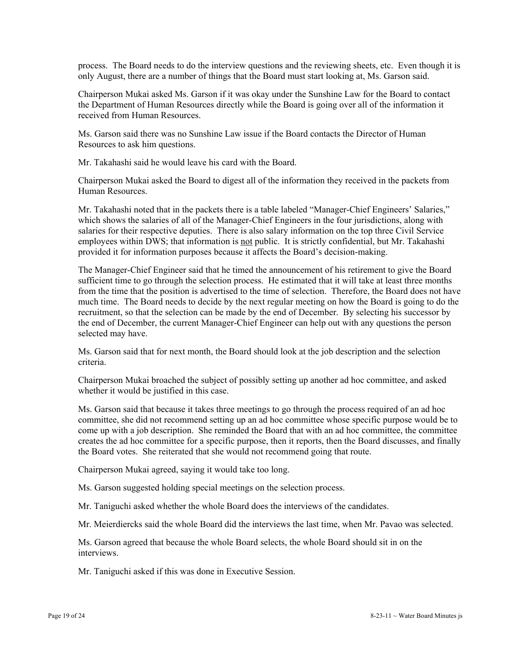process. The Board needs to do the interview questions and the reviewing sheets, etc. Even though it is only August, there are a number of things that the Board must start looking at, Ms. Garson said.

Chairperson Mukai asked Ms. Garson if it was okay under the Sunshine Law for the Board to contact the Department of Human Resources directly while the Board is going over all of the information it received from Human Resources.

Ms. Garson said there was no Sunshine Law issue if the Board contacts the Director of Human Resources to ask him questions.

Mr. Takahashi said he would leave his card with the Board.

Chairperson Mukai asked the Board to digest all of the information they received in the packets from Human Resources.

Mr. Takahashi noted that in the packets there is a table labeled "Manager-Chief Engineers' Salaries," which shows the salaries of all of the Manager-Chief Engineers in the four jurisdictions, along with salaries for their respective deputies. There is also salary information on the top three Civil Service employees within DWS; that information is not public. It is strictly confidential, but Mr. Takahashi provided it for information purposes because it affects the Board's decision-making.

The Manager-Chief Engineer said that he timed the announcement of his retirement to give the Board sufficient time to go through the selection process. He estimated that it will take at least three months from the time that the position is advertised to the time of selection. Therefore, the Board does not have much time. The Board needs to decide by the next regular meeting on how the Board is going to do the recruitment, so that the selection can be made by the end of December. By selecting his successor by the end of December, the current Manager-Chief Engineer can help out with any questions the person selected may have.

Ms. Garson said that for next month, the Board should look at the job description and the selection criteria.

Chairperson Mukai broached the subject of possibly setting up another ad hoc committee, and asked whether it would be justified in this case.

Ms. Garson said that because it takes three meetings to go through the process required of an ad hoc committee, she did not recommend setting up an ad hoc committee whose specific purpose would be to come up with a job description. She reminded the Board that with an ad hoc committee, the committee creates the ad hoc committee for a specific purpose, then it reports, then the Board discusses, and finally the Board votes. She reiterated that she would not recommend going that route.

Chairperson Mukai agreed, saying it would take too long.

Ms. Garson suggested holding special meetings on the selection process.

Mr. Taniguchi asked whether the whole Board does the interviews of the candidates.

Mr. Meierdiercks said the whole Board did the interviews the last time, when Mr. Pavao was selected.

Ms. Garson agreed that because the whole Board selects, the whole Board should sit in on the interviews.

Mr. Taniguchi asked if this was done in Executive Session.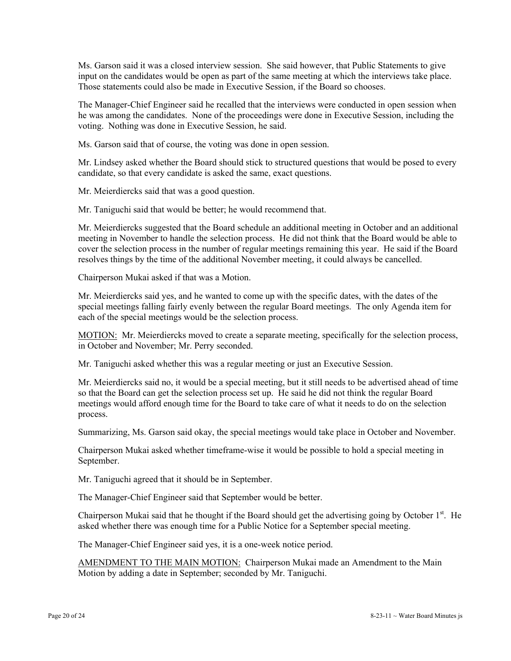Ms. Garson said it was a closed interview session. She said however, that Public Statements to give input on the candidates would be open as part of the same meeting at which the interviews take place. Those statements could also be made in Executive Session, if the Board so chooses.

The Manager-Chief Engineer said he recalled that the interviews were conducted in open session when he was among the candidates. None of the proceedings were done in Executive Session, including the voting. Nothing was done in Executive Session, he said.

Ms. Garson said that of course, the voting was done in open session.

Mr. Lindsey asked whether the Board should stick to structured questions that would be posed to every candidate, so that every candidate is asked the same, exact questions.

Mr. Meierdiercks said that was a good question.

Mr. Taniguchi said that would be better; he would recommend that.

Mr. Meierdiercks suggested that the Board schedule an additional meeting in October and an additional meeting in November to handle the selection process. He did not think that the Board would be able to cover the selection process in the number of regular meetings remaining this year. He said if the Board resolves things by the time of the additional November meeting, it could always be cancelled.

Chairperson Mukai asked if that was a Motion.

Mr. Meierdiercks said yes, and he wanted to come up with the specific dates, with the dates of the special meetings falling fairly evenly between the regular Board meetings. The only Agenda item for each of the special meetings would be the selection process.

MOTION: Mr. Meierdiercks moved to create a separate meeting, specifically for the selection process, in October and November; Mr. Perry seconded.

Mr. Taniguchi asked whether this was a regular meeting or just an Executive Session.

Mr. Meierdiercks said no, it would be a special meeting, but it still needs to be advertised ahead of time so that the Board can get the selection process set up. He said he did not think the regular Board meetings would afford enough time for the Board to take care of what it needs to do on the selection process.

Summarizing, Ms. Garson said okay, the special meetings would take place in October and November.

Chairperson Mukai asked whether timeframe-wise it would be possible to hold a special meeting in September.

Mr. Taniguchi agreed that it should be in September.

The Manager-Chief Engineer said that September would be better.

Chairperson Mukai said that he thought if the Board should get the advertising going by October  $1<sup>st</sup>$ . He asked whether there was enough time for a Public Notice for a September special meeting.

The Manager-Chief Engineer said yes, it is a one-week notice period.

AMENDMENT TO THE MAIN MOTION: Chairperson Mukai made an Amendment to the Main Motion by adding a date in September; seconded by Mr. Taniguchi.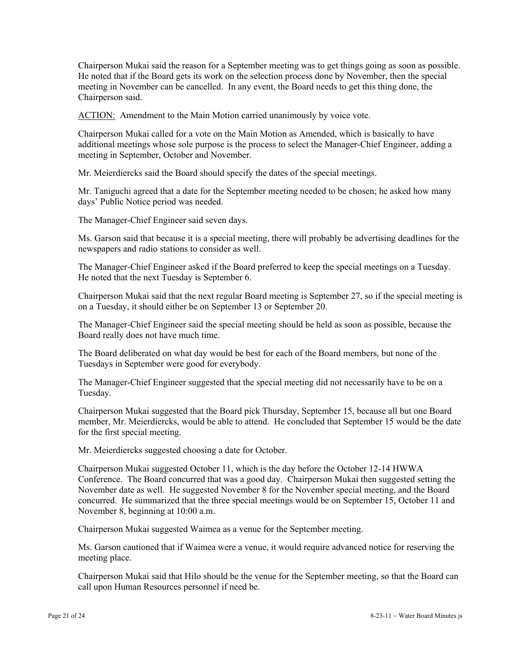Chairperson Mukai said the reason for a September meeting was to get things going as soon as possible. He noted that if the Board gets its work on the selection process done by November, then the special meeting in November can be cancelled. In any event, the Board needs to get this thing done, the Chairperson said.

ACTION: Amendment to the Main Motion carried unanimously by voice vote.

Chairperson Mukai called for a vote on the Main Motion as Amended, which is basically to have additional meetings whose sole purpose is the process to select the Manager-Chief Engineer, adding a meeting in September, October and November.

Mr. Meierdiercks said the Board should specify the dates of the special meetings.

Mr. Taniguchi agreed that a date for the September meeting needed to be chosen; he asked how many days' Public Notice period was needed.

The Manager-Chief Engineer said seven days.

Ms. Garson said that because it is a special meeting, there will probably be advertising deadlines for the newspapers and radio stations to consider as well.

The Manager-Chief Engineer asked if the Board preferred to keep the special meetings on a Tuesday. He noted that the next Tuesday is September 6.

Chairperson Mukai said that the next regular Board meeting is September 27, so if the special meeting is on a Tuesday, it should either be on September 13 or September 20.

The Manager-Chief Engineer said the special meeting should be held as soon as possible, because the Board really does not have much time.

The Board deliberated on what day would be best for each of the Board members, but none of the Tuesdays in September were good for everybody.

The Manager-Chief Engineer suggested that the special meeting did not necessarily have to be on a Tuesday.

Chairperson Mukai suggested that the Board pick Thursday, September 15, because all but one Board member, Mr. Meierdiercks, would be able to attend. He concluded that September 15 would be the date for the first special meeting.

Mr. Meierdiercks suggested choosing a date for October.

Chairperson Mukai suggested October 11, which is the day before the October 12-14 HWWA Conference. The Board concurred that was a good day. Chairperson Mukai then suggested setting the November date as well. He suggested November 8 for the November special meeting, and the Board concurred. He summarized that the three special meetings would be on September 15, October 11 and November 8, beginning at 10:00 a.m.

Chairperson Mukai suggested Waimea as a venue for the September meeting.

Ms. Garson cautioned that if Waimea were a venue, it would require advanced notice for reserving the meeting place.

Chairperson Mukai said that Hilo should be the venue for the September meeting, so that the Board can call upon Human Resources personnel if need be.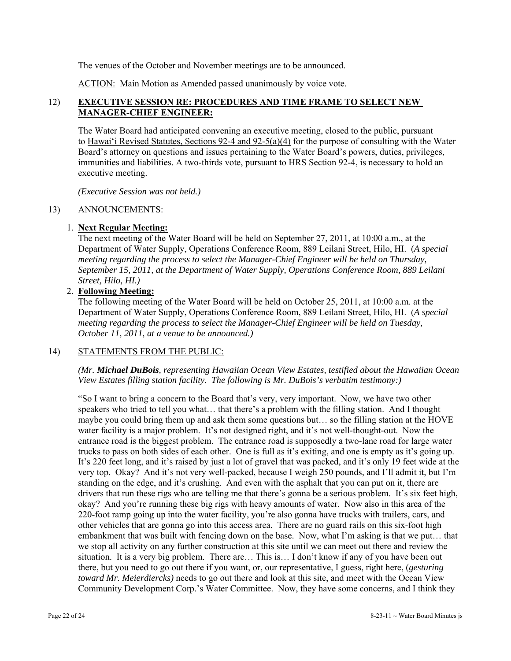The venues of the October and November meetings are to be announced.

ACTION: Main Motion as Amended passed unanimously by voice vote.

## 12) **EXECUTIVE SESSION RE: PROCEDURES AND TIME FRAME TO SELECT NEW MANAGER-CHIEF ENGINEER:**

The Water Board had anticipated convening an executive meeting, closed to the public, pursuant to Hawai'i Revised Statutes, Sections 92-4 and 92-5(a)(4) for the purpose of consulting with the Water Board's attorney on questions and issues pertaining to the Water Board's powers, duties, privileges, immunities and liabilities. A two-thirds vote, pursuant to HRS Section 92-4, is necessary to hold an executive meeting.

*(Executive Session was not held.)* 

### 13) ANNOUNCEMENTS:

## 1. **Next Regular Meeting:**

The next meeting of the Water Board will be held on September 27, 2011, at 10:00 a.m., at the Department of Water Supply, Operations Conference Room, 889 Leilani Street, Hilo, HI. (*A special meeting regarding the process to select the Manager-Chief Engineer will be held on Thursday, September 15, 2011, at the Department of Water Supply, Operations Conference Room, 889 Leilani Street, Hilo, HI.)*

# 2. **Following Meeting:**

The following meeting of the Water Board will be held on October 25, 2011, at 10:00 a.m. at the Department of Water Supply, Operations Conference Room, 889 Leilani Street, Hilo, HI. (*A special meeting regarding the process to select the Manager-Chief Engineer will be held on Tuesday, October 11, 2011, at a venue to be announced.)*

### 14) STATEMENTS FROM THE PUBLIC:

*(Mr. Michael DuBois, representing Hawaiian Ocean View Estates, testified about the Hawaiian Ocean View Estates filling station facility. The following is Mr. DuBois's verbatim testimony:)* 

"So I want to bring a concern to the Board that's very, very important. Now, we have two other speakers who tried to tell you what… that there's a problem with the filling station. And I thought maybe you could bring them up and ask them some questions but… so the filling station at the HOVE water facility is a major problem. It's not designed right, and it's not well-thought-out. Now the entrance road is the biggest problem. The entrance road is supposedly a two-lane road for large water trucks to pass on both sides of each other. One is full as it's exiting, and one is empty as it's going up. It's 220 feet long, and it's raised by just a lot of gravel that was packed, and it's only 19 feet wide at the very top. Okay? And it's not very well-packed, because I weigh 250 pounds, and I'll admit it, but I'm standing on the edge, and it's crushing. And even with the asphalt that you can put on it, there are drivers that run these rigs who are telling me that there's gonna be a serious problem. It's six feet high, okay? And you're running these big rigs with heavy amounts of water. Now also in this area of the 220-foot ramp going up into the water facility, you're also gonna have trucks with trailers, cars, and other vehicles that are gonna go into this access area. There are no guard rails on this six-foot high embankment that was built with fencing down on the base. Now, what I'm asking is that we put… that we stop all activity on any further construction at this site until we can meet out there and review the situation. It is a very big problem. There are… This is… I don't know if any of you have been out there, but you need to go out there if you want, or, our representative, I guess, right here, (*gesturing toward Mr. Meierdiercks)* needs to go out there and look at this site, and meet with the Ocean View Community Development Corp.'s Water Committee. Now, they have some concerns, and I think they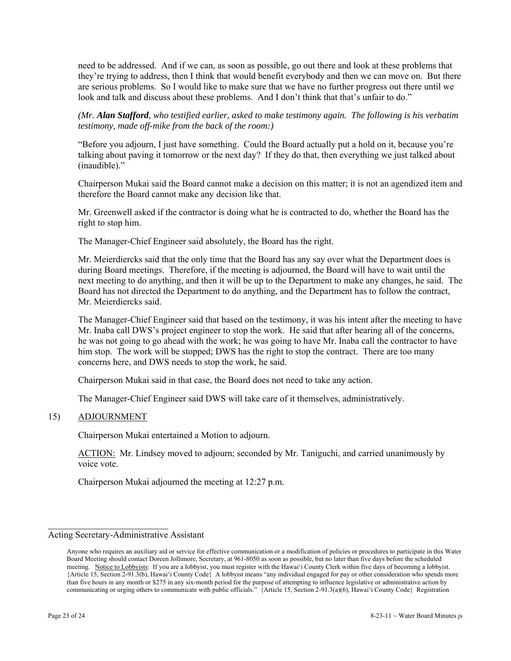need to be addressed. And if we can, as soon as possible, go out there and look at these problems that they're trying to address, then I think that would benefit everybody and then we can move on. But there are serious problems. So I would like to make sure that we have no further progress out there until we look and talk and discuss about these problems. And I don't think that that's unfair to do."

*(Mr. Alan Stafford, who testified earlier, asked to make testimony again. The following is his verbatim testimony, made off-mike from the back of the room:)* 

"Before you adjourn, I just have something. Could the Board actually put a hold on it, because you're talking about paving it tomorrow or the next day? If they do that, then everything we just talked about (inaudible)."

Chairperson Mukai said the Board cannot make a decision on this matter; it is not an agendized item and therefore the Board cannot make any decision like that.

Mr. Greenwell asked if the contractor is doing what he is contracted to do, whether the Board has the right to stop him.

The Manager-Chief Engineer said absolutely, the Board has the right.

Mr. Meierdiercks said that the only time that the Board has any say over what the Department does is during Board meetings. Therefore, if the meeting is adjourned, the Board will have to wait until the next meeting to do anything, and then it will be up to the Department to make any changes, he said. The Board has not directed the Department to do anything, and the Department has to follow the contract, Mr. Meierdiercks said.

The Manager-Chief Engineer said that based on the testimony, it was his intent after the meeting to have Mr. Inaba call DWS's project engineer to stop the work. He said that after hearing all of the concerns, he was not going to go ahead with the work; he was going to have Mr. Inaba call the contractor to have him stop. The work will be stopped; DWS has the right to stop the contract. There are too many concerns here, and DWS needs to stop the work, he said.

Chairperson Mukai said in that case, the Board does not need to take any action.

The Manager-Chief Engineer said DWS will take care of it themselves, administratively.

#### 15) ADJOURNMENT

Chairperson Mukai entertained a Motion to adjourn.

ACTION: Mr. Lindsey moved to adjourn; seconded by Mr. Taniguchi, and carried unanimously by voice vote.

Chairperson Mukai adjourned the meeting at 12:27 p.m.

 $\mathcal{L}_\text{max}$  , where  $\mathcal{L}_\text{max}$  and  $\mathcal{L}_\text{max}$ 

Acting Secretary-Administrative Assistant

Anyone who requires an auxiliary aid or service for effective communication or a modification of policies or procedures to participate in this Water Board Meeting should contact Doreen Jollimore, Secretary, at 961-8050 as soon as possible, but no later than five days before the scheduled meeting. Notice to Lobbyists: If you are a lobbyist, you must register with the Hawai'i County Clerk within five days of becoming a lobbyist. {Article 15, Section 2-91.3(b), Hawai'i County Code} A lobbyist means "any individual engaged for pay or other consideration who spends more than five hours in any month or \$275 in any six-month period for the purpose of attempting to influence legislative or administrative action by communicating or urging others to communicate with public officials." {Article 15, Section 2-91.3(a)(6), Hawai'i County Code} Registration